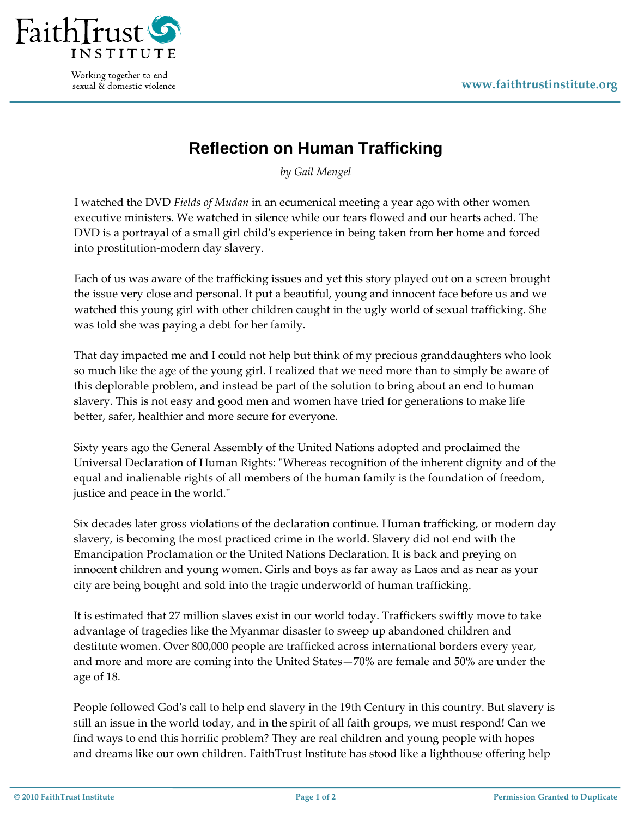

Working together to end sexual & domestic violence

## **Reflection on Human Trafficking**

*by Gail Mengel*

I watched the DVD *Fields of Mudan* in an ecumenical meeting a year ago with other women executive ministers. We watched in silence while our tears flowed and our hearts ached. The DVD is a portrayal of a small girl childʹs experience in being taken from her home and forced into prostitution‐modern day slavery.

Each of us was aware of the trafficking issues and yet this story played out on a screen brought the issue very close and personal. It put a beautiful, young and innocent face before us and we watched this young girl with other children caught in the ugly world of sexual trafficking. She was told she was paying a debt for her family.

That day impacted me and I could not help but think of my precious granddaughters who look so much like the age of the young girl. I realized that we need more than to simply be aware of this deplorable problem, and instead be part of the solution to bring about an end to human slavery. This is not easy and good men and women have tried for generations to make life better, safer, healthier and more secure for everyone.

Sixty years ago the General Assembly of the United Nations adopted and proclaimed the Universal Declaration of Human Rights: "Whereas recognition of the inherent dignity and of the equal and inalienable rights of all members of the human family is the foundation of freedom, justice and peace in the world."

Six decades later gross violations of the declaration continue. Human trafficking, or modern day slavery, is becoming the most practiced crime in the world. Slavery did not end with the Emancipation Proclamation or the United Nations Declaration. It is back and preying on innocent children and young women. Girls and boys as far away as Laos and as near as your city are being bought and sold into the tragic underworld of human trafficking.

It is estimated that 27 million slaves exist in our world today. Traffickers swiftly move to take advantage of tragedies like the Myanmar disaster to sweep up abandoned children and destitute women. Over 800,000 people are trafficked across international borders every year, and more and more are coming into the United States—70% are female and 50% are under the age of 18.

People followed God's call to help end slavery in the 19th Century in this country. But slavery is still an issue in the world today, and in the spirit of all faith groups, we must respond! Can we find ways to end this horrific problem? They are real children and young people with hopes and dreams like our own children. FaithTrust Institute has stood like a lighthouse offering help